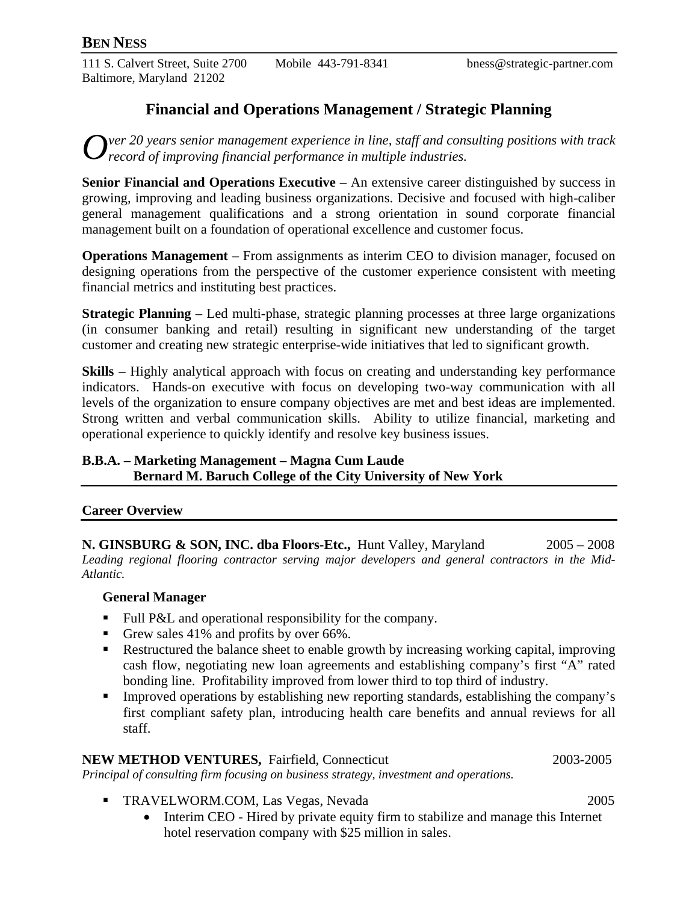111 S. Calvert Street, Suite 2700 Mobile 443-791-8341 bness@strategic-partner.com Baltimore, Maryland 21202

## **Financial and Operations Management / Strategic Planning**

*ver 20 years senior management experience in line, staff and consulting positions with track*   $Q$ <sup>ver 20</sup> years senior management experience in line, staff and constinance in multiple industries.

**Senior Financial and Operations Executive** – An extensive career distinguished by success in growing, improving and leading business organizations. Decisive and focused with high-caliber general management qualifications and a strong orientation in sound corporate financial management built on a foundation of operational excellence and customer focus.

**Operations Management** – From assignments as interim CEO to division manager, focused on designing operations from the perspective of the customer experience consistent with meeting financial metrics and instituting best practices.

**Strategic Planning** – Led multi-phase, strategic planning processes at three large organizations (in consumer banking and retail) resulting in significant new understanding of the target customer and creating new strategic enterprise-wide initiatives that led to significant growth.

**Skills** – Highly analytical approach with focus on creating and understanding key performance indicators. Hands-on executive with focus on developing two-way communication with all levels of the organization to ensure company objectives are met and best ideas are implemented. Strong written and verbal communication skills. Ability to utilize financial, marketing and operational experience to quickly identify and resolve key business issues.

### **B.B.A. – Marketing Management – Magna Cum Laude Bernard M. Baruch College of the City University of New York**

#### **Career Overview**

**N. GINSBURG & SON, INC. dba Floors-Etc.,** Hunt Valley, Maryland 2005 – 2008 *Leading regional flooring contractor serving major developers and general contractors in the Mid-Atlantic.* 

#### **General Manager**

- Full P&L and operational responsibility for the company.
- Grew sales 41% and profits by over 66%.
- Restructured the balance sheet to enable growth by increasing working capital, improving cash flow, negotiating new loan agreements and establishing company's first "A" rated bonding line. Profitability improved from lower third to top third of industry.
- **Improved operations by establishing new reporting standards, establishing the company's** first compliant safety plan, introducing health care benefits and annual reviews for all staff.

#### **NEW METHOD VENTURES, Fairfield, Connecticut 2003-2005**

*Principal of consulting firm focusing on business strategy, investment and operations.* 

- TRAVELWORM.COM, Las Vegas, Nevada 2005
	- Interim CEO Hired by private equity firm to stabilize and manage this Internet hotel reservation company with \$25 million in sales.